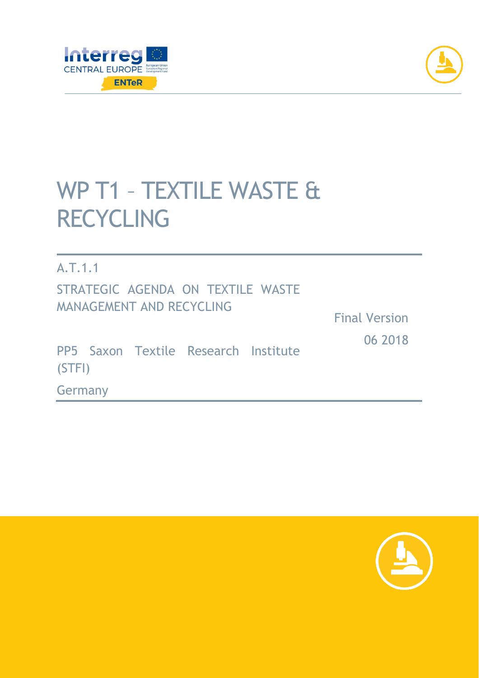



# WP T1 – TEXTILE WASTE & RECYCLING

A.T.1.1 STRATEGIC AGENDA ON TEXTILE WASTE MANAGEMENT AND RECYCLING

Final Version 06 2018

PP5 Saxon Textile Research Institute (STFI)

Germany

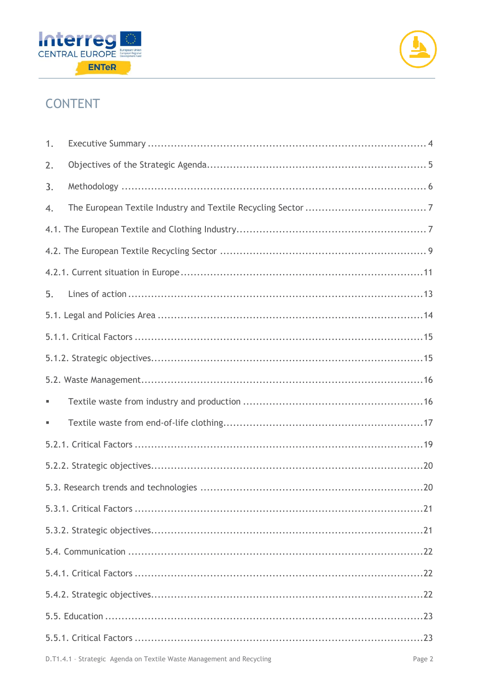



# **CONTENT**

| 1. |  |  |  |
|----|--|--|--|
| 2. |  |  |  |
| 3. |  |  |  |
| 4. |  |  |  |
|    |  |  |  |
|    |  |  |  |
|    |  |  |  |
| 5. |  |  |  |
|    |  |  |  |
|    |  |  |  |
|    |  |  |  |
|    |  |  |  |
|    |  |  |  |
|    |  |  |  |
|    |  |  |  |
|    |  |  |  |
|    |  |  |  |
|    |  |  |  |
|    |  |  |  |
|    |  |  |  |
|    |  |  |  |
|    |  |  |  |
|    |  |  |  |
|    |  |  |  |
|    |  |  |  |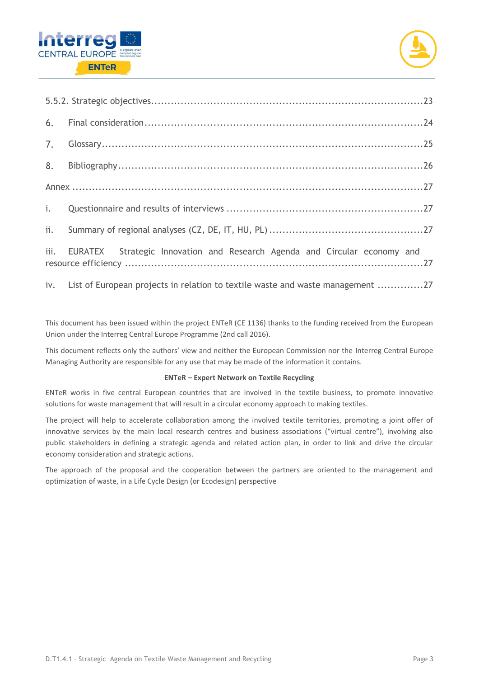



| 7.  |                                                                                    |  |  |
|-----|------------------------------------------------------------------------------------|--|--|
|     |                                                                                    |  |  |
|     |                                                                                    |  |  |
| i.  |                                                                                    |  |  |
| ii. |                                                                                    |  |  |
|     | iii. EURATEX - Strategic Innovation and Research Agenda and Circular economy and   |  |  |
|     | iv. List of European projects in relation to textile waste and waste management 27 |  |  |

This document has been issued within the project ENTeR (CE 1136) thanks to the funding received from the European Union under the Interreg Central Europe Programme (2nd call 2016).

This document reflects only the authors' view and neither the European Commission nor the Interreg Central Europe Managing Authority are responsible for any use that may be made of the information it contains.

#### **ENTeR – Expert Network on Textile Recycling**

ENTeR works in five central European countries that are involved in the textile business, to promote innovative solutions for waste management that will result in a circular economy approach to making textiles.

The project will help to accelerate collaboration among the involved textile territories, promoting a joint offer of innovative services by the main local research centres and business associations ("virtual centre"), involving also public stakeholders in defining a strategic agenda and related action plan, in order to link and drive the circular economy consideration and strategic actions.

The approach of the proposal and the cooperation between the partners are oriented to the management and optimization of waste, in a Life Cycle Design (or Ecodesign) perspective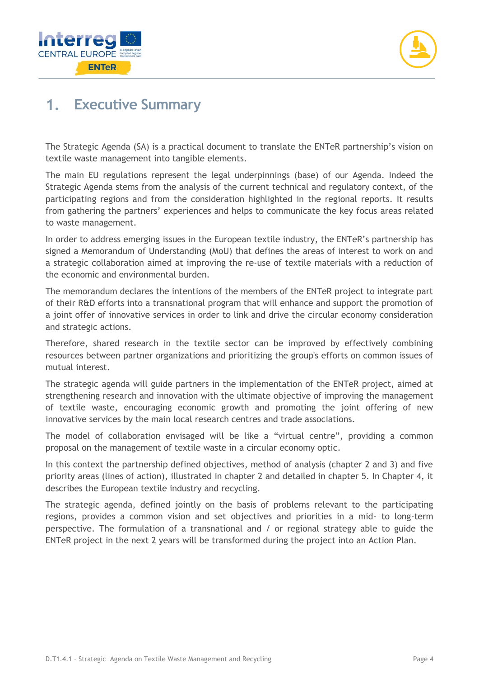



# **Executive Summary**

The Strategic Agenda (SA) is a practical document to translate the ENTeR partnership's vision on textile waste management into tangible elements.

The main EU regulations represent the legal underpinnings (base) of our Agenda. Indeed the Strategic Agenda stems from the analysis of the current technical and regulatory context, of the participating regions and from the consideration highlighted in the regional reports. It results from gathering the partners' experiences and helps to communicate the key focus areas related to waste management.

In order to address emerging issues in the European textile industry, the ENTeR's partnership has signed a Memorandum of Understanding (MoU) that defines the areas of interest to work on and a strategic collaboration aimed at improving the re-use of textile materials with a reduction of the economic and environmental burden.

The memorandum declares the intentions of the members of the ENTeR project to integrate part of their R&D efforts into a transnational program that will enhance and support the promotion of a joint offer of innovative services in order to link and drive the circular economy consideration and strategic actions.

Therefore, shared research in the textile sector can be improved by effectively combining resources between partner organizations and prioritizing the group's efforts on common issues of mutual interest.

The strategic agenda will guide partners in the implementation of the ENTeR project, aimed at strengthening research and innovation with the ultimate objective of improving the management of textile waste, encouraging economic growth and promoting the joint offering of new innovative services by the main local research centres and trade associations.

The model of collaboration envisaged will be like a "virtual centre", providing a common proposal on the management of textile waste in a circular economy optic.

In this context the partnership defined objectives, method of analysis (chapter 2 and 3) and five priority areas (lines of action), illustrated in chapter 2 and detailed in chapter 5. In Chapter 4, it describes the European textile industry and recycling.

The strategic agenda, defined jointly on the basis of problems relevant to the participating regions, provides a common vision and set objectives and priorities in a mid- to long-term perspective. The formulation of a transnational and / or regional strategy able to guide the ENTeR project in the next 2 years will be transformed during the project into an Action Plan.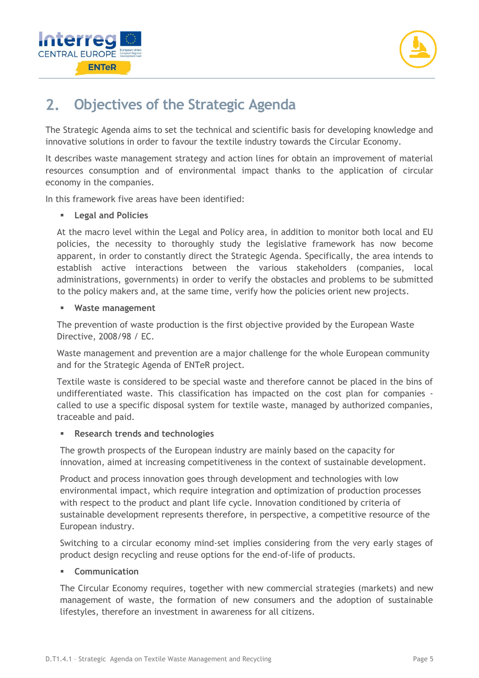



#### **Objectives of the Strategic Agenda**  $2.$

The Strategic Agenda aims to set the technical and scientific basis for developing knowledge and innovative solutions in order to favour the textile industry towards the Circular Economy.

It describes waste management strategy and action lines for obtain an improvement of material resources consumption and of environmental impact thanks to the application of circular economy in the companies.

In this framework five areas have been identified:

#### **Legal and Policies**

At the macro level within the Legal and Policy area, in addition to monitor both local and EU policies, the necessity to thoroughly study the legislative framework has now become apparent, in order to constantly direct the Strategic Agenda. Specifically, the area intends to establish active interactions between the various stakeholders (companies, local administrations, governments) in order to verify the obstacles and problems to be submitted to the policy makers and, at the same time, verify how the policies orient new projects.

#### **Waste management**

The prevention of waste production is the first objective provided by the European Waste Directive, 2008/98 / EC.

Waste management and prevention are a major challenge for the whole European community and for the Strategic Agenda of ENTeR project.

Textile waste is considered to be special waste and therefore cannot be placed in the bins of undifferentiated waste. This classification has impacted on the cost plan for companies called to use a specific disposal system for textile waste, managed by authorized companies, traceable and paid.

#### ▪ **Research trends and technologies**

The growth prospects of the European industry are mainly based on the capacity for innovation, aimed at increasing competitiveness in the context of sustainable development.

Product and process innovation goes through development and technologies with low environmental impact, which require integration and optimization of production processes with respect to the product and plant life cycle. Innovation conditioned by criteria of sustainable development represents therefore, in perspective, a competitive resource of the European industry.

Switching to a circular economy mind-set implies considering from the very early stages of product design recycling and reuse options for the end-of-life of products.

#### ▪ **Communication**

The Circular Economy requires, together with new commercial strategies (markets) and new management of waste, the formation of new consumers and the adoption of sustainable lifestyles, therefore an investment in awareness for all citizens.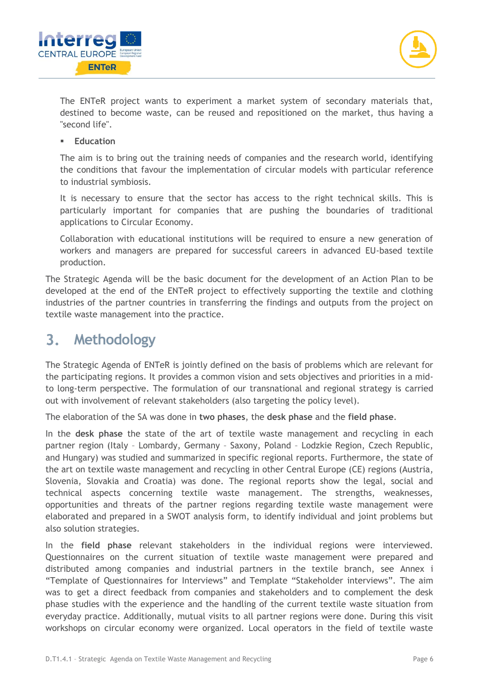



The ENTeR project wants to experiment a market system of secondary materials that, destined to become waste, can be reused and repositioned on the market, thus having a "second life".

#### ▪ **Education**

The aim is to bring out the training needs of companies and the research world, identifying the conditions that favour the implementation of circular models with particular reference to industrial symbiosis.

It is necessary to ensure that the sector has access to the right technical skills. This is particularly important for companies that are pushing the boundaries of traditional applications to Circular Economy.

Collaboration with educational institutions will be required to ensure a new generation of workers and managers are prepared for successful careers in advanced EU-based textile production.

The Strategic Agenda will be the basic document for the development of an Action Plan to be developed at the end of the ENTeR project to effectively supporting the textile and clothing industries of the partner countries in transferring the findings and outputs from the project on textile waste management into the practice.

#### $3.$ **Methodology**

The Strategic Agenda of ENTeR is jointly defined on the basis of problems which are relevant for the participating regions. It provides a common vision and sets objectives and priorities in a midto long-term perspective. The formulation of our transnational and regional strategy is carried out with involvement of relevant stakeholders (also targeting the policy level).

The elaboration of the SA was done in **two phases**, the **desk phase** and the **field phase**.

In the **desk phase** the state of the art of textile waste management and recycling in each partner region (Italy – Lombardy, Germany – Saxony, Poland – Lodzkie Region, Czech Republic, and Hungary) was studied and summarized in specific regional reports. Furthermore, the state of the art on textile waste management and recycling in other Central Europe (CE) regions (Austria, Slovenia, Slovakia and Croatia) was done. The regional reports show the legal, social and technical aspects concerning textile waste management. The strengths, weaknesses, opportunities and threats of the partner regions regarding textile waste management were elaborated and prepared in a SWOT analysis form, to identify individual and joint problems but also solution strategies.

In the **field phase** relevant stakeholders in the individual regions were interviewed. Questionnaires on the current situation of textile waste management were prepared and distributed among companies and industrial partners in the textile branch, see Annex i "Template of Questionnaires for Interviews" and Template "Stakeholder interviews". The aim was to get a direct feedback from companies and stakeholders and to complement the desk phase studies with the experience and the handling of the current textile waste situation from everyday practice. Additionally, mutual visits to all partner regions were done. During this visit workshops on circular economy were organized. Local operators in the field of textile waste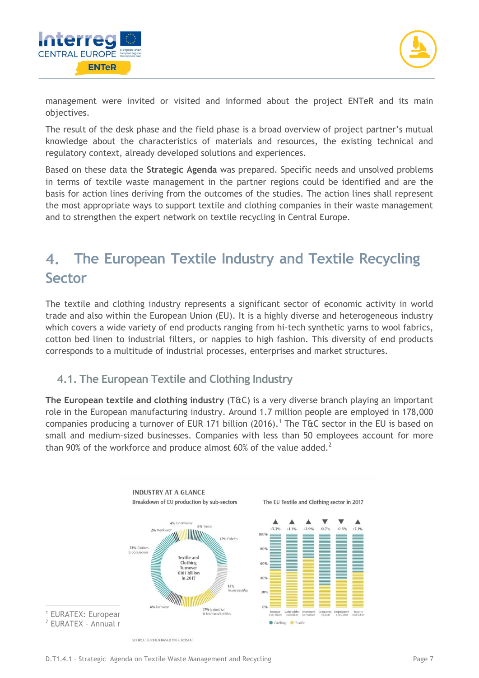



management were invited or visited and informed about the project ENTeR and its main objectives.

The result of the desk phase and the field phase is a broad overview of project partner's mutual knowledge about the characteristics of materials and resources, the existing technical and regulatory context, already developed solutions and experiences.

Based on these data the **Strategic Agenda** was prepared. Specific needs and unsolved problems in terms of textile waste management in the partner regions could be identified and are the basis for action lines deriving from the outcomes of the studies. The action lines shall represent the most appropriate ways to support textile and clothing companies in their waste management and to strengthen the expert network on textile recycling in Central Europe.

#### **The European Textile Industry and Textile Recycling**   $4.$ **Sector**

The textile and clothing industry represents a significant sector of economic activity in world trade and also within the European Union (EU). It is a highly diverse and heterogeneous industry which covers a wide variety of end products ranging from hi-tech synthetic yarns to wool fabrics, cotton bed linen to industrial filters, or nappies to high fashion. This diversity of end products corresponds to a multitude of industrial processes, enterprises and market structures.

# <span id="page-6-0"></span>**4.1. The European Textile and Clothing Industry**

**The European textile and clothing industry** (T&C) is a very diverse branch playing an important role in the European manufacturing industry. Around 1.7 million people are employed in 178,000 companies producing a turnover of EUR 171 billion (2016).<sup>1</sup> The T&C sector in the EU is based on small and medium-sized businesses. Companies with less than 50 employees account for more than 90% of the workforce and produce almost 60% of the value added.<sup>2</sup>

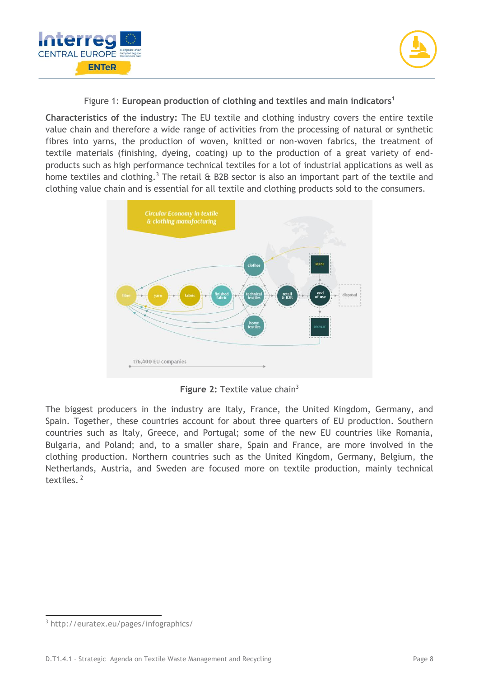



Figure 1: **European production of clothing and textiles and main indicators**[1](#page-6-0)

**Characteristics of the industry:** The EU textile and clothing industry covers the entire textile value chain and therefore a wide range of activities from the processing of natural or synthetic fibres into yarns, the production of woven, knitted or non-woven fabrics, the treatment of textile materials (finishing, dyeing, coating) up to the production of a great variety of endproducts such as high performance technical textiles for a lot of industrial applications as well as home textiles and clothing.<sup>3</sup> The retail  $\hat{\alpha}$  B2B sector is also an important part of the textile and clothing value chain and is essential for all textile and clothing products sold to the consumers.

<span id="page-7-0"></span>

**Figure 2: Textile value chain<sup>[3](#page-7-0)</sup>** 

The biggest producers in the industry are Italy, France, the United Kingdom, Germany, and Spain. Together, these countries account for about three quarters of EU production. Southern countries such as Italy, Greece, and Portugal; some of the new EU countries like Romania, Bulgaria, and Poland; and, to a smaller share, Spain and France, are more involved in the clothing production. Northern countries such as the United Kingdom, Germany, Belgium, the Netherlands, Austria, and Sweden are focused more on textile production, mainly technical textiles.<sup>2</sup>

1

<sup>3</sup> http://euratex.eu/pages/infographics/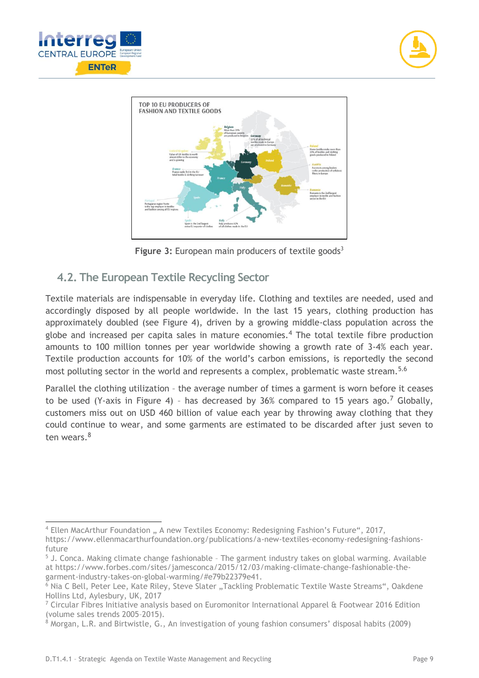

-





<span id="page-8-1"></span><span id="page-8-0"></span>**Figure 3: European main producer[s](#page-7-0) of textile goods<sup>3</sup>** 

# **4.2. The European Textile Recycling Sector**

Textile materials are indispensable in everyday life. Clothing and textiles are needed, used and accordingly disposed by all people worldwide. In the last 15 years, clothing production has approximately doubled (see [Figure 4\)](#page-9-0), driven by a growing middle-class population across the globe and increased per capita sales in mature economies.<sup>4</sup> The total textile fibre production amounts to 100 million tonnes per year worldwide showing a growth rate of 3-4% each year. Textile production accounts for 10% of the world's carbon emissions, is reportedly the second most polluting sector in the world and represents a complex, problematic waste stream.<sup>5,6</sup>

Parallel the clothing utilization – the average number of times a garment is worn before it ceases to be used (Y-axis in Figure 4) - has decreased by 36% compared to 15 years ago.<sup>7</sup> Globally, customers miss out on USD 460 billion of value each year by throwing away clothing that they could continue to wear, and some garments are estimated to be discarded after just seven to ten wears  $8$ 

<sup>&</sup>lt;sup>4</sup> Ellen MacArthur Foundation " A new Textiles Economy: Redesigning Fashion's Future", 2017, https://www.ellenmacarthurfoundation.org/publications/a-new-textiles-economy-redesigning-fashionsfuture

 $5$  J. Conca. Making climate change fashionable - The garment industry takes on global warming. Available at https://www.forbes.com/sites/jamesconca/2015/12/03/making-climate-change-fashionable-thegarment-industry-takes-on-global-warming/#e79b22379e41.

 $6$  Nia C Bell, Peter Lee, Kate Riley, Steve Slater "Tackling Problematic Textile Waste Streams", Oakdene Hollins Ltd, Aylesbury, UK, 2017

 $7$  Circular Fibres Initiative analysis based on Euromonitor International Apparel & Footwear 2016 Edition (volume sales trends 2005–2015).

<sup>8</sup> Morgan, L.R. and Birtwistle, G., An investigation of young fashion consumers' disposal habits (2009)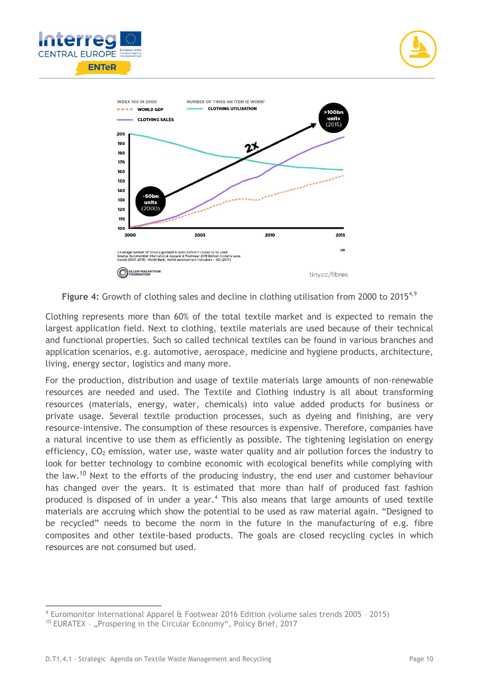





<span id="page-9-0"></span>**Figure 4:** Growth of clothing sales and decline in clothing utilisation from 2000 to 2015<sup>[4,](#page-8-0)9</sup>

Clothing represents more than 60% of the total textile market and is expected to remain the largest application field. Next to clothing, textile materials are used because of their technical and functional properties. Such so called technical textiles can be found in various branches and application scenarios, e.g. automotive, aerospace, medicine and hygiene products, architecture, living, energy sector, logistics and many more.

<span id="page-9-1"></span>For the production, distribution and usage of textile materials large amounts of non-renewable resources are needed and used. The Textile and Clothing industry is all about transforming resources (materials, energy, water, chemicals) into value added products for business or private usage. Several textile production processes, such as dyeing and finishing, are very resource-intensive. The consumption of these resources is expensive. Therefore, companies have a natural incentive to use them as efficiently as possible. The tightening legislation on energy efficiency,  $CO<sub>2</sub>$  emission, water use, waste water quality and air pollution forces the industry to look for better technology to combine economic with ecological benefits while complying with the law.<sup>10</sup> Next to the efforts of the producing industry, the end user and customer behaviour has changed over the years. It is estimated that more than half of produced fast fashion produced is disposed of in under a year[.](#page-8-0)<sup>4</sup> This also means that large amounts of used textile materials are accruing which show the potential to be used as raw material again. "Designed to be recycled" needs to become the norm in the future in the manufacturing of e.g. fibre composites and other textile-based products. The goals are closed recycling cycles in which resources are not consumed but used.

<sup>-</sup><sup>9</sup> Euromonitor International Apparel & Footwear 2016 Edition (volume sales trends 2005 – 2015)

<sup>&</sup>lt;sup>10</sup> EURATEX - "Prospering in the Circular Economy", Policy Brief, 2017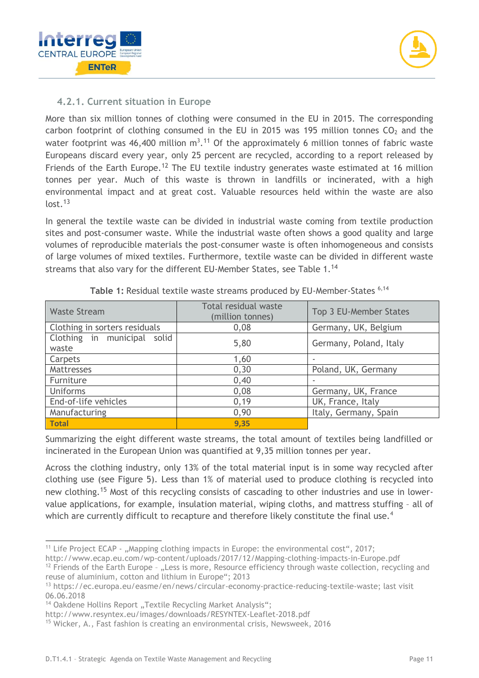

### **4.2.1. Current situation in Europe**

More than six million tonnes of clothing were consumed in the EU in 2015. The corresponding carbon footprint of clothing consumed in the EU in 2015 was 195 million tonnes  $CO<sub>2</sub>$  and the water footprint was 46,400 million  $m^3$ .<sup>11</sup> Of the approximately 6 million tonnes of fabric waste Europeans discard every year, only 25 percent are recycled, according to a report released by Friends of the Earth Europe.<sup>12</sup> The EU textile industry generates waste estimated at 16 million tonnes per year. Much of this waste is thrown in landfills or incinerated, with a high environmental impact and at great cost. Valuable resources held within the waste are also  $lost.<sup>13</sup>$ 

In general the textile waste can be divided in industrial waste coming from textile production sites and post-consumer waste. While the industrial waste often shows a good quality and large volumes of reproducible materials the post-consumer waste is often inhomogeneous and consists of large volumes of mixed textiles. Furthermore, textile waste can be divided in different waste streams that also vary for the different EU-Member States, see [Table 1.](#page-10-0)<sup>14</sup>

<span id="page-10-0"></span>

| <b>Waste Stream</b>                     | Total residual waste<br>(million tonnes) | Top 3 EU-Member States |
|-----------------------------------------|------------------------------------------|------------------------|
| Clothing in sorters residuals           | 0,08                                     | Germany, UK, Belgium   |
| Clothing in municipal<br>solid<br>waste | 5,80                                     | Germany, Poland, Italy |
| Carpets                                 | 1,60                                     |                        |
| Mattresses                              | 0, 30                                    | Poland, UK, Germany    |
| Furniture                               | 0,40                                     |                        |
| Uniforms                                | 0,08                                     | Germany, UK, France    |
| End-of-life vehicles                    | 0,19                                     | UK, France, Italy      |
| Manufacturing                           | 0,90                                     | Italy, Germany, Spain  |
| <b>Total</b>                            | 9,35                                     |                        |

<span id="page-10-1"></span>Table 1: Residual textile waste streams produced by EU-Member-States <sup>[6,](#page-8-1)[14](#page-10-1)</sup>

Summarizing the eight different waste streams, the total amount of textiles being landfilled or incinerated in the European Union was quantified at 9,35 million tonnes per year.

Across the clothing industry, only 13% of the total material input is in some way recycled after clothing use (see [Figure 5\)](#page-11-0). Less than 1% of material used to produce clothing is recycled into new clothing.<sup>15</sup> Most of this recycling consists of cascading to other industries and use in lowervalue applications, for example, insulation material, wiping cloths, and mattress stuffing – all of which are currently difficult to recapture and therefore likely constitute the final use.<sup>[4](#page-8-0)</sup>

http://www.ecap.eu.com/wp-content/uploads/2017/12/Mapping-clothing-impacts-in-Europe.pdf

<sup>-</sup><sup>11</sup> Life Project ECAP  $-$  ., Mapping clothing impacts in Europe: the environmental cost", 2017;

 $12$  Friends of the Earth Europe - "Less is more, Resource efficiency through waste collection, recycling and reuse of aluminium, cotton and lithium in Europe"; 2013

<sup>13</sup> https://ec.europa.eu/easme/en/news/circular-economy-practice-reducing-textile-waste; last visit 06.06.2018

<sup>&</sup>lt;sup>14</sup> Oakdene Hollins Report "Textile Recycling Market Analysis";

http://www.resyntex.eu/images/downloads/RESYNTEX-Leaflet-2018.pdf

<sup>15</sup> Wicker, A., Fast fashion is creating an environmental crisis, Newsweek, 2016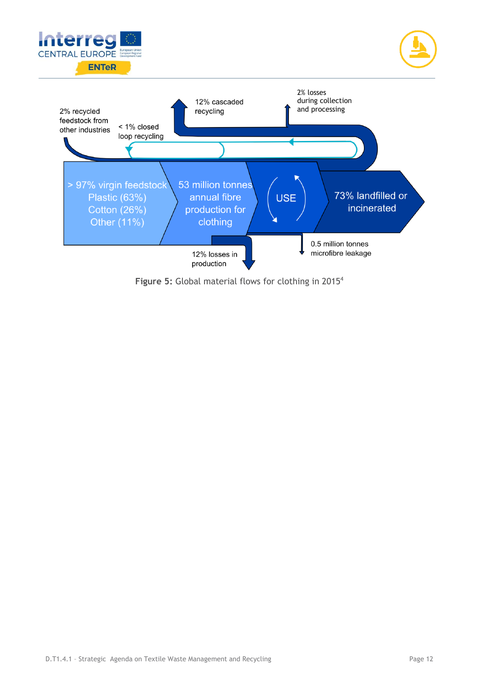

<span id="page-11-0"></span>Figure 5: Global material flows for clothing in 2015<sup>[4](#page-8-0)</sup>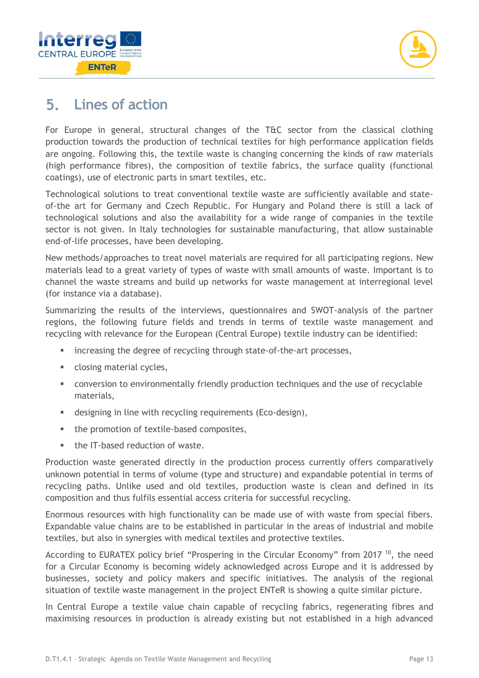



#### **Lines of action** 5.

For Europe in general, structural changes of the T&C sector from the classical clothing production towards the production of technical textiles for high performance application fields are ongoing. Following this, the textile waste is changing concerning the kinds of raw materials (high performance fibres), the composition of textile fabrics, the surface quality (functional coatings), use of electronic parts in smart textiles, etc.

Technological solutions to treat conventional textile waste are sufficiently available and stateof-the art for Germany and Czech Republic. For Hungary and Poland there is still a lack of technological solutions and also the availability for a wide range of companies in the textile sector is not given. In Italy technologies for sustainable manufacturing, that allow sustainable end-of-life processes, have been developing.

New methods/approaches to treat novel materials are required for all participating regions. New materials lead to a great variety of types of waste with small amounts of waste. Important is to channel the waste streams and build up networks for waste management at interregional level (for instance via a database).

Summarizing the results of the interviews, questionnaires and SWOT-analysis of the partner regions, the following future fields and trends in terms of textile waste management and recycling with relevance for the European (Central Europe) textile industry can be identified:

- increasing the degree of recycling through state-of-the-art processes,
- closing material cycles,
- **•** conversion to environmentally friendly production techniques and the use of recyclable materials,
- designing in line with recycling requirements (Eco-design),
- the promotion of textile-based composites,
- the IT-based reduction of waste.

Production waste generated directly in the production process currently offers comparatively unknown potential in terms of volume (type and structure) and expandable potential in terms of recycling paths. Unlike used and old textiles, production waste is clean and defined in its composition and thus fulfils essential access criteria for successful recycling.

Enormous resources with high functionality can be made use of with waste from special fibers. Expandable value chains are to be established in particular in the areas of industrial and mobile textiles, but also in synergies with medical textiles and protective textiles.

According to EURATEX policy brief "Prospering in the Circular Economy" from 2017<sup>[10](#page-9-1)</sup>, the need for a Circular Economy is becoming widely acknowledged across Europe and it is addressed by businesses, society and policy makers and specific initiatives. The analysis of the regional situation of textile waste management in the project ENTeR is showing a quite similar picture.

In Central Europe a textile value chain capable of recycling fabrics, regenerating fibres and maximising resources in production is already existing but not established in a high advanced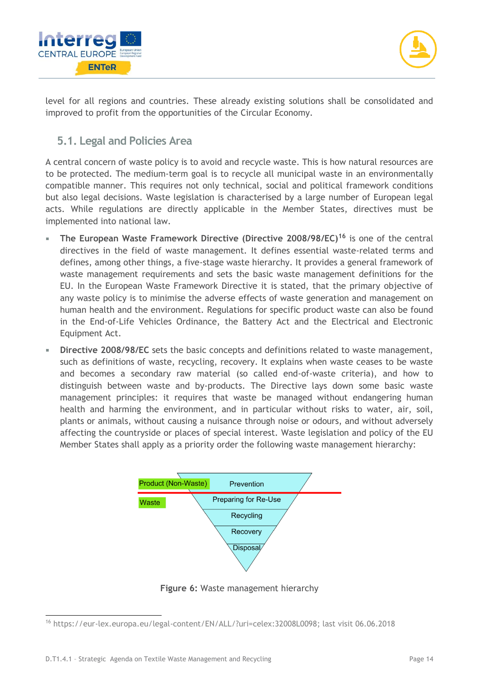



level for all regions and countries. These already existing solutions shall be consolidated and improved to profit from the opportunities of the Circular Economy.

## **5.1. Legal and Policies Area**

A central concern of waste policy is to avoid and recycle waste. This is how natural resources are to be protected. The medium-term goal is to recycle all municipal waste in an environmentally compatible manner. This requires not only technical, social and political framework conditions but also legal decisions. Waste legislation is characterised by a large number of European legal acts. While regulations are directly applicable in the Member States, directives must be implemented into national law.

- **The European Waste Framework Directive (Directive 2008/98/EC)<sup>16</sup>** is one of the central directives in the field of waste management. It defines essential waste-related terms and defines, among other things, a five-stage waste hierarchy. It provides a general framework of waste management requirements and sets the basic waste management definitions for the EU. In the European Waste Framework Directive it is stated, that the primary objective of any waste policy is to minimise the adverse effects of waste generation and management on human health and the environment. Regulations for specific product waste can also be found in the End-of-Life Vehicles Ordinance, the Battery Act and the Electrical and Electronic Equipment Act.
- **Directive 2008/98/EC** sets the basic concepts and definitions related to waste management, such as definitions of waste, recycling, recovery. It explains when waste ceases to be waste and becomes a secondary raw material (so called end-of-waste criteria), and how to distinguish between waste and by-products. The Directive lays down some basic waste management principles: it requires that waste be managed without endangering human health and harming the environment, and in particular without risks to water, air, soil, plants or animals, without causing a nuisance through noise or odours, and without adversely affecting the countryside or places of special interest. Waste legislation and policy of the EU Member States shall apply as a priority order the following waste management hierarchy:



**Figure 6:** Waste management hierarchy

<sup>1</sup> <sup>16</sup> https://eur-lex.europa.eu/legal-content/EN/ALL/?uri=celex:32008L0098; last visit 06.06.2018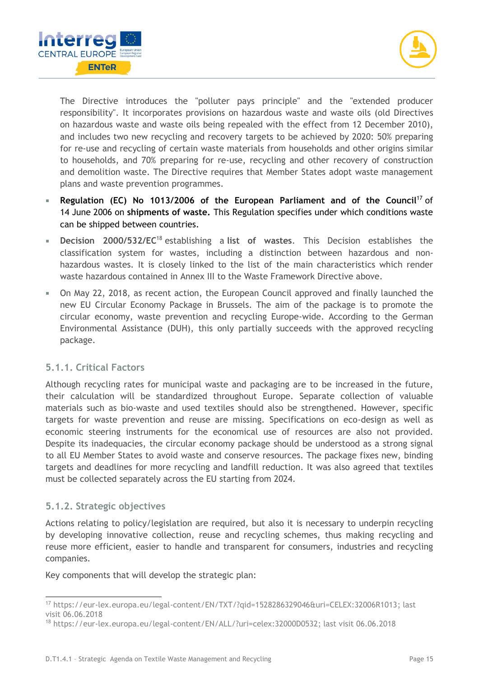



The Directive introduces the "polluter pays principle" and the "extended producer responsibility". It incorporates provisions on hazardous waste and waste oils (old Directives on hazardous waste and waste oils being repealed with the effect from 12 December 2010), and includes two new recycling and recovery targets to be achieved by 2020: 50% preparing for re-use and recycling of certain waste materials from households and other origins similar to households, and 70% preparing for re-use, recycling and other recovery of construction and demolition waste. The Directive requires that Member States adopt waste management plans and [waste prevention programmes.](http://ec.europa.eu/environment/waste/prevention/legislation.htm)

- **[Regulation \(EC\) No 1013/2006 of the European Parliament and of the Council](http://eur-lex.europa.eu/legal-content/EN/TXT/?uri=CELEX:32006R1013)**<sup>17</sup> of 14 June 2006 on **shipments of waste.** This Regulation specifies under which conditions waste can be shipped between countries.
- **Decision 2000/532/EC**<sup>18</sup> establishing a **list of wastes**. This Decision establishes the classification system for wastes, including a distinction between hazardous and nonhazardous wastes. It is closely linked to the list of the main characteristics which render waste hazardous contained in Annex III to the Waste Framework Directive above.
- On May 22, 2018, as recent action, the European Council approved and finally launched the new EU Circular Economy Package in Brussels. The aim of the package is to promote the circular economy, waste prevention and recycling Europe-wide. According to the German Environmental Assistance (DUH), this only partially succeeds with the approved recycling package.

#### **5.1.1. Critical Factors**

Although recycling rates for municipal waste and packaging are to be increased in the future, their calculation will be standardized throughout Europe. Separate collection of valuable materials such as bio-waste and used textiles should also be strengthened. However, specific targets for waste prevention and reuse are missing. Specifications on eco-design as well as economic steering instruments for the economical use of resources are also not provided. Despite its inadequacies, the circular economy package should be understood as a strong signal to all EU Member States to avoid waste and conserve resources. The package fixes new, binding targets and deadlines for more recycling and landfill reduction. It was also agreed that textiles must be collected separately across the EU starting from 2024.

#### **5.1.2. Strategic objectives**

-

Actions relating to policy/legislation are required, but also it is necessary to underpin recycling by developing innovative collection, reuse and recycling schemes, thus making recycling and reuse more efficient, easier to handle and transparent for consumers, industries and recycling companies.

Key components that will develop the strategic plan:

<sup>17</sup> https://eur-lex.europa.eu/legal-content/EN/TXT/?qid=1528286329046&uri=CELEX:32006R1013; last visit 06.06.2018

<sup>18</sup> https://eur-lex.europa.eu/legal-content/EN/ALL/?uri=celex:32000D0532; last visit 06.06.2018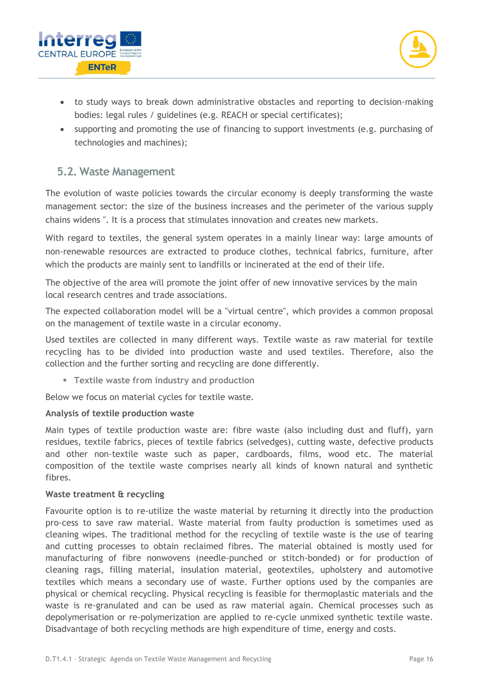



- to study ways to break down administrative obstacles and reporting to decision-making bodies: legal rules / guidelines (e.g. REACH or special certificates);
- supporting and promoting the use of financing to support investments (e.g. purchasing of technologies and machines);

#### **5.2. Waste Management**

The evolution of waste policies towards the circular economy is deeply transforming the waste management sector: the size of the business increases and the perimeter of the various supply chains widens ". It is a process that stimulates innovation and creates new markets.

With regard to textiles, the general system operates in a mainly linear way: large amounts of non-renewable resources are extracted to produce clothes, technical fabrics, furniture, after which the products are mainly sent to landfills or incinerated at the end of their life.

The objective of the area will promote the joint offer of new innovative services by the main local research centres and trade associations.

The expected collaboration model will be a "virtual centre", which provides a common proposal on the management of textile waste in a circular economy.

Used textiles are collected in many different ways. Textile waste as raw material for textile recycling has to be divided into production waste and used textiles. Therefore, also the collection and the further sorting and recycling are done differently.

▪ **Textile waste from industry and production**

Below we focus on material cycles for textile waste.

#### **Analysis of textile production waste**

Main types of textile production waste are: fibre waste (also including dust and fluff), yarn residues, textile fabrics, pieces of textile fabrics (selvedges), cutting waste, defective products and other non-textile waste such as paper, cardboards, films, wood etc. The material composition of the textile waste comprises nearly all kinds of known natural and synthetic fibres.

#### **Waste treatment & recycling**

Favourite option is to re-utilize the waste material by returning it directly into the production pro-cess to save raw material. Waste material from faulty production is sometimes used as cleaning wipes. The traditional method for the recycling of textile waste is the use of tearing and cutting processes to obtain reclaimed fibres. The material obtained is mostly used for manufacturing of fibre nonwovens (needle-punched or stitch-bonded) or for production of cleaning rags, filling material, insulation material, geotextiles, upholstery and automotive textiles which means a secondary use of waste. Further options used by the companies are physical or chemical recycling. Physical recycling is feasible for thermoplastic materials and the waste is re-granulated and can be used as raw material again. Chemical processes such as depolymerisation or re-polymerization are applied to re-cycle unmixed synthetic textile waste. Disadvantage of both recycling methods are high expenditure of time, energy and costs.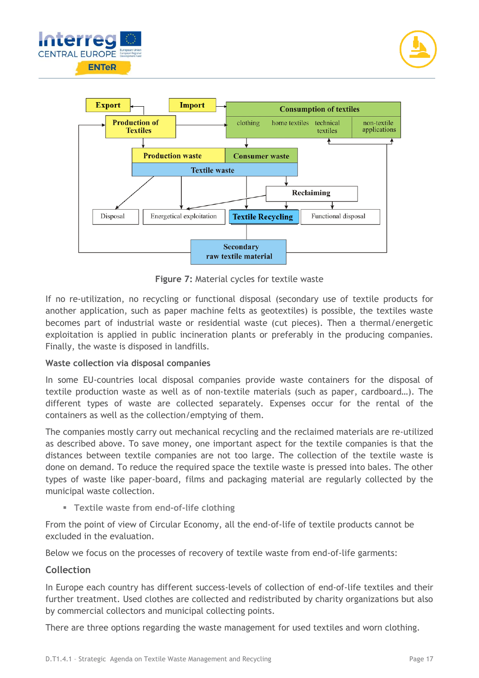



**Figure 7:** Material cycles for textile waste

If no re-utilization, no recycling or functional disposal (secondary use of textile products for another application, such as paper machine felts as geotextiles) is possible, the textiles waste becomes part of industrial waste or residential waste (cut pieces). Then a thermal/energetic exploitation is applied in public incineration plants or preferably in the producing companies. Finally, the waste is disposed in landfills.

#### **Waste collection via disposal companies**

In some EU-countries local disposal companies provide waste containers for the disposal of textile production waste as well as of non-textile materials (such as paper, cardboard…). The different types of waste are collected separately. Expenses occur for the rental of the containers as well as the collection/emptying of them.

The companies mostly carry out mechanical recycling and the reclaimed materials are re-utilized as described above. To save money, one important aspect for the textile companies is that the distances between textile companies are not too large. The collection of the textile waste is done on demand. To reduce the required space the textile waste is pressed into bales. The other types of waste like paper-board, films and packaging material are regularly collected by the municipal waste collection.

▪ **Textile waste from end-of-life clothing**

From the point of view of Circular Economy, all the end-of-life of textile products cannot be excluded in the evaluation.

Below we focus on the processes of recovery of textile waste from end-of-life garments:

#### **Collection**

In Europe each country has different success-levels of collection of end-of-life textiles and their further treatment. Used clothes are collected and redistributed by charity organizations but also by commercial collectors and municipal collecting points.

There are three options regarding the waste management for used textiles and worn clothing.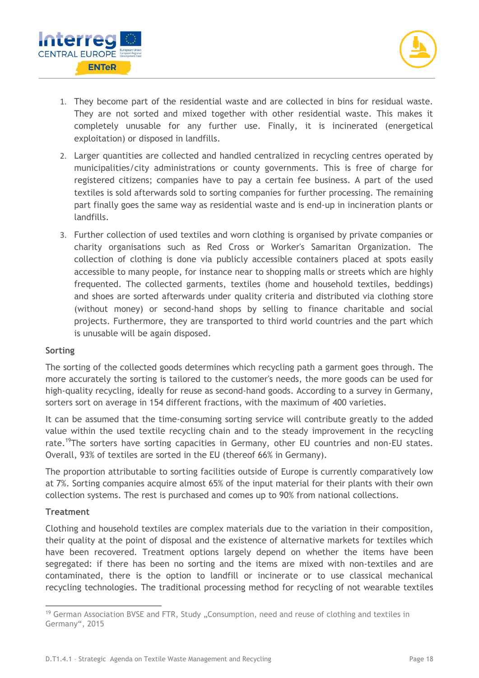



- 1. They become part of the residential waste and are collected in bins for residual waste. They are not sorted and mixed together with other residential waste. This makes it completely unusable for any further use. Finally, it is incinerated (energetical exploitation) or disposed in landfills.
- 2. Larger quantities are collected and handled centralized in recycling centres operated by municipalities/city administrations or county governments. This is free of charge for registered citizens; companies have to pay a certain fee business. A part of the used textiles is sold afterwards sold to sorting companies for further processing. The remaining part finally goes the same way as residential waste and is end-up in incineration plants or landfills.
- 3. Further collection of used textiles and worn clothing is organised by private companies or charity organisations such as Red Cross or Worker's Samaritan Organization. The collection of clothing is done via publicly accessible containers placed at spots easily accessible to many people, for instance near to shopping malls or streets which are highly frequented. The collected garments, textiles (home and household textiles, beddings) and shoes are sorted afterwards under quality criteria and distributed via clothing store (without money) or second-hand shops by selling to finance charitable and social projects. Furthermore, they are transported to third world countries and the part which is unusable will be again disposed.

#### **Sorting**

The sorting of the collected goods determines which recycling path a garment goes through. The more accurately the sorting is tailored to the customer's needs, the more goods can be used for high-quality recycling, ideally for reuse as second-hand goods. According to a survey in Germany, sorters sort on average in 154 different fractions, with the maximum of 400 varieties.

It can be assumed that the time-consuming sorting service will contribute greatly to the added value within the used textile recycling chain and to the steady improvement in the recycling rate.<sup>19</sup>The sorters have sorting capacities in Germany, other EU countries and non-EU states. Overall, 93% of textiles are sorted in the EU (thereof 66% in Germany).

The proportion attributable to sorting facilities outside of Europe is currently comparatively low at 7%. Sorting companies acquire almost 65% of the input material for their plants with their own collection systems. The rest is purchased and comes up to 90% from national collections.

#### **Treatment**

-

Clothing and household textiles are complex materials due to the variation in their composition, their quality at the point of disposal and the existence of alternative markets for textiles which have been recovered. Treatment options largely depend on whether the items have been segregated: if there has been no sorting and the items are mixed with non-textiles and are contaminated, there is the option to landfill or incinerate or to use classical mechanical recycling technologies. The traditional processing method for recycling of not wearable textiles

<sup>&</sup>lt;sup>19</sup> German Association BVSE and FTR, Study "Consumption, need and reuse of clothing and textiles in Germany", 2015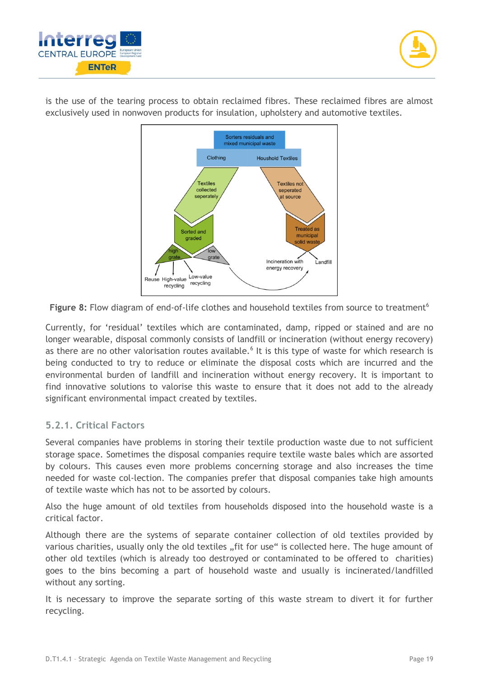



is the use of the tearing process to obtain reclaimed fibres. These reclaimed fibres are almost exclusively used in nonwoven products for insulation, upholstery and automotive textiles.



Figure 8: Flow diagram of end-of-life clo[t](#page-8-1)hes and household textiles from source to treatment<sup>6</sup>

Currently, for 'residual' textiles which are contaminated, damp, ripped or stained and are no longer wearable, disposal commonly consists of landfill or incineration (without energy recovery) as there are no other valorisation routes available.<sup>[6](#page-8-1)</sup> It is this type of waste for which research is being conducted to try to reduce or eliminate the disposal costs which are incurred and the environmental burden of landfill and incineration without energy recovery. It is important to find innovative solutions to valorise this waste to ensure that it does not add to the already significant environmental impact created by textiles.

#### **5.2.1. Critical Factors**

Several companies have problems in storing their textile production waste due to not sufficient storage space. Sometimes the disposal companies require textile waste bales which are assorted by colours. This causes even more problems concerning storage and also increases the time needed for waste col-lection. The companies prefer that disposal companies take high amounts of textile waste which has not to be assorted by colours.

Also the huge amount of old textiles from households disposed into the household waste is a critical factor.

Although there are the systems of separate container collection of old textiles provided by various charities, usually only the old textiles "fit for use" is collected here. The huge amount of other old textiles (which is already too destroyed or contaminated to be offered to charities) goes to the bins becoming a part of household waste and usually is incinerated/landfilled without any sorting.

It is necessary to improve the separate sorting of this waste stream to divert it for further recycling.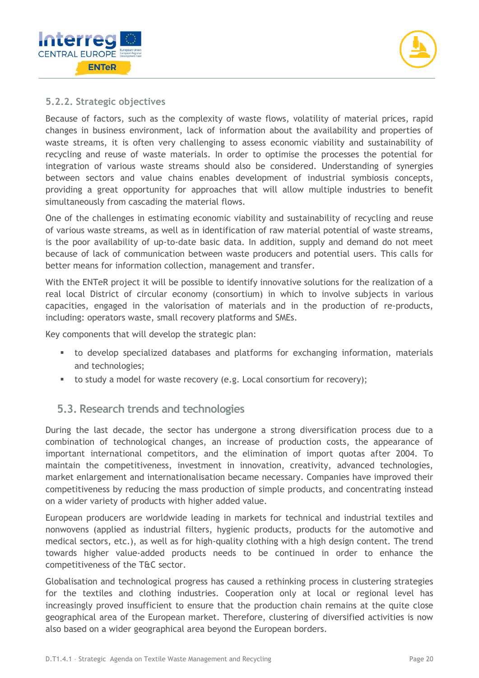



#### **5.2.2. Strategic objectives**

Because of factors, such as the complexity of waste flows, volatility of material prices, rapid changes in business environment, lack of information about the availability and properties of waste streams, it is often very challenging to assess economic viability and sustainability of recycling and reuse of waste materials. In order to optimise the processes the potential for integration of various waste streams should also be considered. Understanding of synergies between sectors and value chains enables development of industrial symbiosis concepts, providing a great opportunity for approaches that will allow multiple industries to benefit simultaneously from cascading the material flows.

One of the challenges in estimating economic viability and sustainability of recycling and reuse of various waste streams, as well as in identification of raw material potential of waste streams, is the poor availability of up-to-date basic data. In addition, supply and demand do not meet because of lack of communication between waste producers and potential users. This calls for better means for information collection, management and transfer.

With the ENTeR project it will be possible to identify innovative solutions for the realization of a real local District of circular economy (consortium) in which to involve subjects in various capacities, engaged in the valorisation of materials and in the production of re-products, including: operators waste, small recovery platforms and SMEs.

Key components that will develop the strategic plan:

- to develop specialized databases and platforms for exchanging information, materials and technologies;
- to study a model for waste recovery (e.g. Local consortium for recovery);

#### **5.3. Research trends and technologies**

During the last decade, the sector has undergone a strong diversification process due to a combination of technological changes, an increase of production costs, the appearance of important international competitors, and the elimination of import quotas after 2004. To maintain the competitiveness, investment in innovation, creativity, advanced technologies, market enlargement and internationalisation became necessary. Companies have improved their competitiveness by reducing the mass production of simple products, and concentrating instead on a wider variety of products with higher added value.

European producers are worldwide leading in markets for technical and industrial textiles and nonwovens (applied as industrial filters, hygienic products, products for the automotive and medical sectors, etc.), as well as for high-quality clothing with a high design content. The trend towards higher value-added products needs to be continued in order to enhance the competitiveness of the T&C sector.

Globalisation and technological progress has caused a rethinking process in clustering strategies for the textiles and clothing industries. Cooperation only at local or regional level has increasingly proved insufficient to ensure that the production chain remains at the quite close geographical area of the European market. Therefore, clustering of diversified activities is now also based on a wider geographical area beyond the European borders.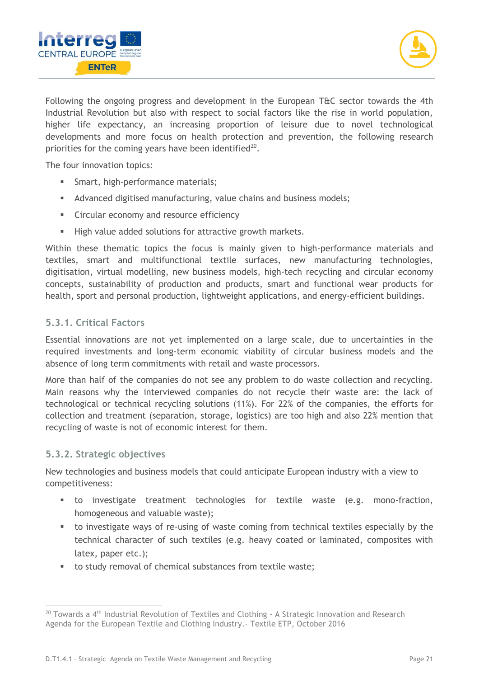



Following the ongoing progress and development in the European T&C sector towards the 4th Industrial Revolution but also with respect to social factors like the rise in world population, higher life expectancy, an increasing proportion of leisure due to novel technological developments and more focus on health protection and prevention, the following research priorities for the coming years have been identified $20$ .

The four innovation topics:

- **EXECUTE:** Smart, high-performance materials;
- Advanced digitised manufacturing, value chains and business models;
- Circular economy and resource efficiency
- High value added solutions for attractive growth markets.

Within these thematic topics the focus is mainly given to high-performance materials and textiles, smart and multifunctional textile surfaces, new manufacturing technologies, digitisation, virtual modelling, new business models, high-tech recycling and circular economy concepts, sustainability of production and products, smart and functional wear products for health, sport and personal production, lightweight applications, and energy-efficient buildings.

#### **5.3.1. Critical Factors**

Essential innovations are not yet implemented on a large scale, due to uncertainties in the required investments and long-term economic viability of circular business models and the absence of long term commitments with retail and waste processors.

More than half of the companies do not see any problem to do waste collection and recycling. Main reasons why the interviewed companies do not recycle their waste are: the lack of technological or technical recycling solutions (11%). For 22% of the companies, the efforts for collection and treatment (separation, storage, logistics) are too high and also 22% mention that recycling of waste is not of economic interest for them.

#### **5.3.2. Strategic objectives**

-

New technologies and business models that could anticipate European industry with a view to competitiveness:

- to investigate treatment technologies for textile waste (e.g. mono-fraction, homogeneous and valuable waste);
- to investigate ways of re-using of waste coming from technical textiles especially by the technical character of such textiles (e.g. heavy coated or laminated, composites with latex, paper etc.);
- to study removal of chemical substances from textile waste;

 $^{20}$  Towards a 4<sup>th</sup> Industrial Revolution of Textiles and Clothing - A Strategic Innovation and Research Agenda for the European Textile and Clothing Industry.- Textile ETP, October 2016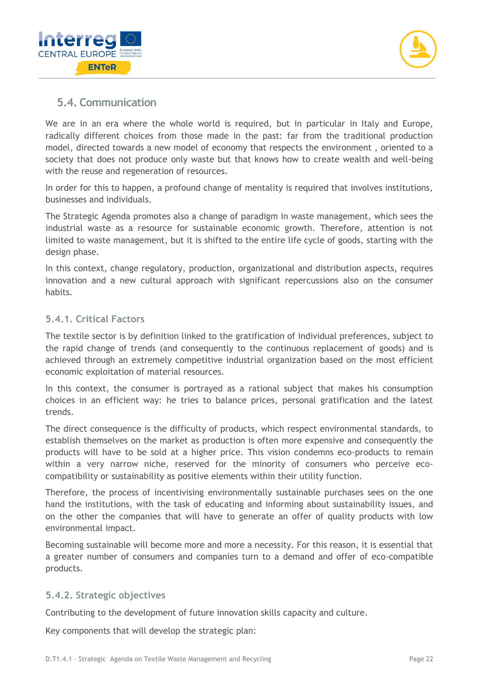



## **5.4. Communication**

We are in an era where the whole world is required, but in particular in Italy and Europe, radically different choices from those made in the past: far from the traditional production model, directed towards a new model of economy that respects the environment , oriented to a society that does not produce only waste but that knows how to create wealth and well-being with the reuse and regeneration of resources.

In order for this to happen, a profound change of mentality is required that involves institutions, businesses and individuals.

The Strategic Agenda promotes also a change of paradigm in waste management, which sees the industrial waste as a resource for sustainable economic growth. Therefore, attention is not limited to waste management, but it is shifted to the entire life cycle of goods, starting with the design phase.

In this context, change regulatory, production, organizational and distribution aspects, requires innovation and a new cultural approach with significant repercussions also on the consumer habits.

#### **5.4.1. Critical Factors**

The textile sector is by definition linked to the gratification of individual preferences, subject to the rapid change of trends (and consequently to the continuous replacement of goods) and is achieved through an extremely competitive industrial organization based on the most efficient economic exploitation of material resources.

In this context, the consumer is portrayed as a rational subject that makes his consumption choices in an efficient way: he tries to balance prices, personal gratification and the latest trends.

The direct consequence is the difficulty of products, which respect environmental standards, to establish themselves on the market as production is often more expensive and consequently the products will have to be sold at a higher price. This vision condemns eco-products to remain within a very narrow niche, reserved for the minority of consumers who perceive ecocompatibility or sustainability as positive elements within their utility function.

Therefore, the process of incentivising environmentally sustainable purchases sees on the one hand the institutions, with the task of educating and informing about sustainability issues, and on the other the companies that will have to generate an offer of quality products with low environmental impact.

Becoming sustainable will become more and more a necessity. For this reason, it is essential that a greater number of consumers and companies turn to a demand and offer of eco-compatible products.

#### **5.4.2. Strategic objectives**

Contributing to the development of future innovation skills capacity and culture.

Key components that will develop the strategic plan: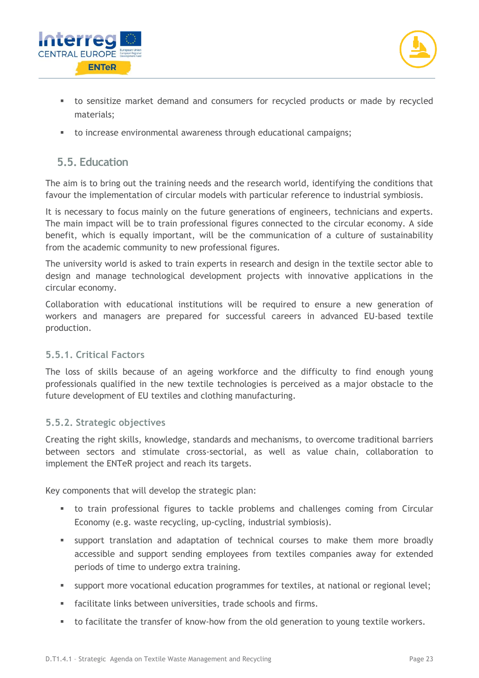



- to sensitize market demand and consumers for recycled products or made by recycled materials;
- to increase environmental awareness through educational campaigns;

## **5.5. Education**

The aim is to bring out the training needs and the research world, identifying the conditions that favour the implementation of circular models with particular reference to industrial symbiosis.

It is necessary to focus mainly on the future generations of engineers, technicians and experts. The main impact will be to train professional figures connected to the circular economy. A side benefit, which is equally important, will be the communication of a culture of sustainability from the academic community to new professional figures.

The university world is asked to train experts in research and design in the textile sector able to design and manage technological development projects with innovative applications in the circular economy.

Collaboration with educational institutions will be required to ensure a new generation of workers and managers are prepared for successful careers in advanced EU-based textile production.

#### **5.5.1. Critical Factors**

The loss of skills because of an ageing workforce and the difficulty to find enough young professionals qualified in the new textile technologies is perceived as a major obstacle to the future development of EU textiles and clothing manufacturing.

#### **5.5.2. Strategic objectives**

Creating the right skills, knowledge, standards and mechanisms, to overcome traditional barriers between sectors and stimulate cross-sectorial, as well as value chain, collaboration to implement the ENTeR project and reach its targets.

Key components that will develop the strategic plan:

- **■** to train professional figures to tackle problems and challenges coming from Circular Economy (e.g. waste recycling, up-cycling, industrial symbiosis).
- support translation and adaptation of technical courses to make them more broadly accessible and support sending employees from textiles companies away for extended periods of time to undergo extra training.
- support more vocational education programmes for textiles, at national or regional level;
- facilitate links between universities, trade schools and firms.
- to facilitate the transfer of know-how from the old generation to young textile workers.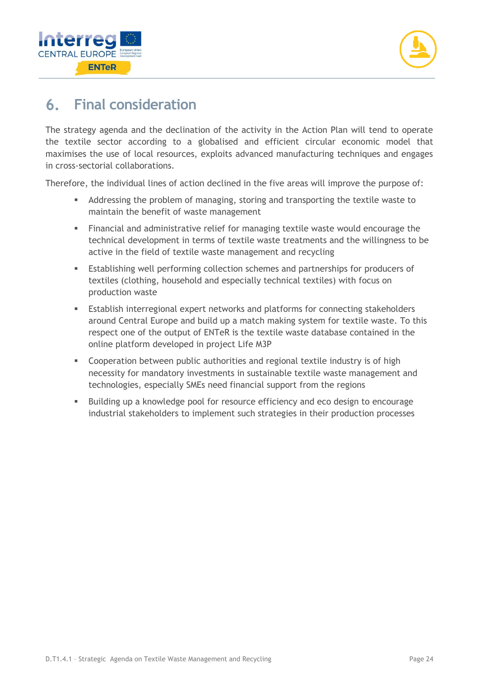



#### **Final consideration** 6.

The strategy agenda and the declination of the activity in the Action Plan will tend to operate the textile sector according to a globalised and efficient circular economic model that maximises the use of local resources, exploits advanced manufacturing techniques and engages in cross-sectorial collaborations.

Therefore, the individual lines of action declined in the five areas will improve the purpose of:

- Addressing the problem of managing, storing and transporting the textile waste to maintain the benefit of waste management
- Financial and administrative relief for managing textile waste would encourage the technical development in terms of textile waste treatments and the willingness to be active in the field of textile waste management and recycling
- **Establishing well performing collection schemes and partnerships for producers of** textiles (clothing, household and especially technical textiles) with focus on production waste
- Establish interregional expert networks and platforms for connecting stakeholders around Central Europe and build up a match making system for textile waste. To this respect one of the output of ENTeR is the textile waste database contained in the online platform developed in project Life M3P
- **EXECOOPERATION DETA COOPERATION COOPERATION** COOPERATION **FIGHT** necessity for mandatory investments in sustainable textile waste management and technologies, especially SMEs need financial support from the regions
- Building up a knowledge pool for resource efficiency and eco design to encourage industrial stakeholders to implement such strategies in their production processes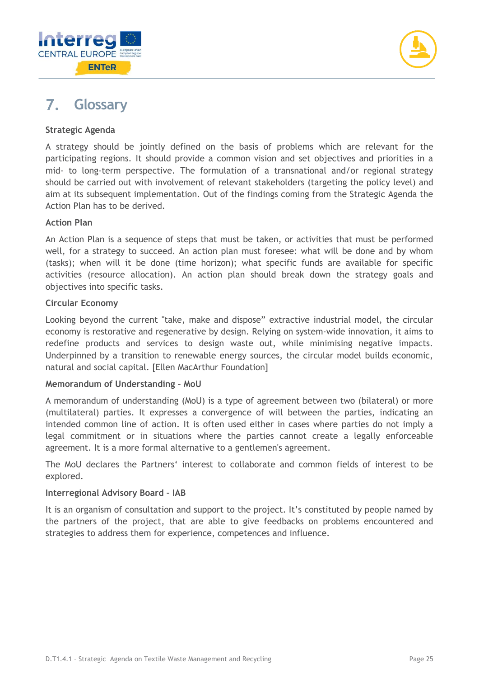



#### $\mathbf{7}_{\sim}$ **Glossary**

#### **Strategic Agenda**

A strategy should be jointly defined on the basis of problems which are relevant for the participating regions. It should provide a common vision and set objectives and priorities in a mid- to long-term perspective. The formulation of a transnational and/or regional strategy should be carried out with involvement of relevant stakeholders (targeting the policy level) and aim at its subsequent implementation. Out of the findings coming from the Strategic Agenda the Action Plan has to be derived.

#### **Action Plan**

An Action Plan is a sequence of steps that must be taken, or activities that must be performed well, for a strategy to succeed. An action plan must foresee: what will be done and by whom (tasks); when will it be done (time horizon); what specific funds are available for specific activities (resource allocation). An action plan should break down the strategy goals and objectives into specific tasks.

#### **Circular Economy**

Looking beyond the current "take, make and dispose" extractive industrial model, the circular economy is restorative and regenerative by design. Relying on system-wide innovation, it aims to redefine products and services to design waste out, while minimising negative impacts. Underpinned by a transition to renewable energy sources, the circular model builds economic, natural and social capital. [Ellen MacArthur Foundation]

#### **Memorandum of Understanding – MoU**

A memorandum of understanding (MoU) is a type of agreement between two (bilateral) or more (multilateral) parties. It expresses a convergence of will between the parties, indicating an intended common line of action. It is often used either in cases where parties do not imply a legal commitment or in situations where the parties cannot create a legally enforceable agreement. It is a more formal alternative to a gentlemen's agreement.

The MoU declares the Partners' interest to collaborate and common fields of interest to be explored.

#### **Interregional Advisory Board – IAB**

It is an organism of consultation and support to the project. It's constituted by people named by the partners of the project, that are able to give feedbacks on problems encountered and strategies to address them for experience, competences and influence.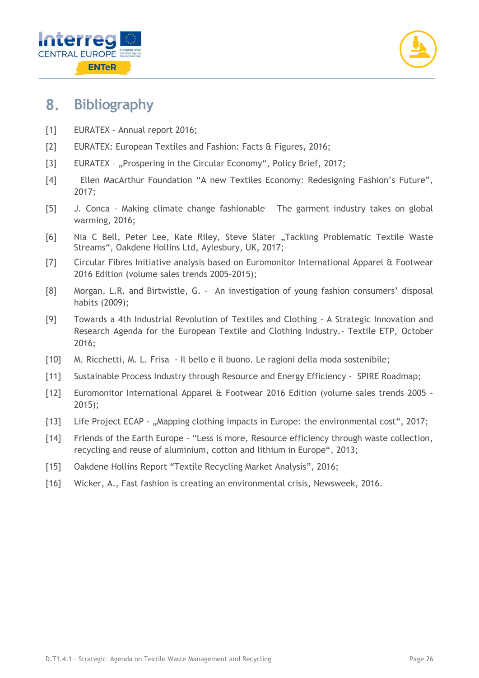

#### 8. **Bibliography**

- [1] EURATEX Annual report 2016;
- [2] EURATEX: European Textiles and Fashion: Facts & Figures, 2016;
- [3] EURATEX "Prospering in the Circular Economy", Policy Brief, 2017;
- [4] Ellen MacArthur Foundation "A new Textiles Economy: Redesigning Fashion's Future", 2017;
- [5] J. Conca Making climate change fashionable The garment industry takes on global warming, 2016;
- [6] Nia C Bell, Peter Lee, Kate Riley, Steve Slater "Tackling Problematic Textile Waste Streams", Oakdene Hollins Ltd, Aylesbury, UK, 2017;
- [7] Circular Fibres Initiative analysis based on Euromonitor International Apparel & Footwear 2016 Edition (volume sales trends 2005–2015);
- [8] Morgan, L.R. and Birtwistle, G. An investigation of young fashion consumers' disposal habits (2009);
- [9] Towards a 4th Industrial Revolution of Textiles and Clothing A Strategic Innovation and Research Agenda for the European Textile and Clothing Industry.- Textile ETP, October 2016;
- [10] M. Ricchetti, M. L. Frisa Il bello e il buono. Le ragioni della moda sostenibile;
- [11] Sustainable Process Industry through Resource and Energy Efficiency SPIRE Roadmap;
- [12] Euromonitor International Apparel & Footwear 2016 Edition (volume sales trends 2005 2015);
- [13] Life Project ECAP "Mapping clothing impacts in Europe: the environmental cost", 2017;
- [14] Friends of the Earth Europe "Less is more, Resource efficiency through waste collection, recycling and reuse of aluminium, cotton and lithium in Europe", 2013;
- [15] Oakdene Hollins Report "Textile Recycling Market Analysis", 2016;
- [16] Wicker, A., Fast fashion is creating an environmental crisis, Newsweek, 2016.